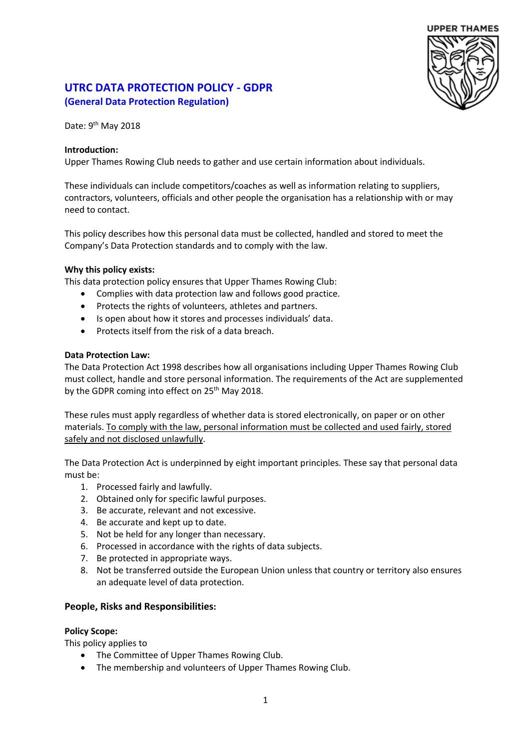# **UPPER THAMES**

# **UTRC DATA PROTECTION POLICY - GDPR (General Data Protection Regulation)**

Date: 9<sup>th</sup> May 2018

### **Introduction:**

Upper Thames Rowing Club needs to gather and use certain information about individuals.

These individuals can include competitors/coaches as well as information relating to suppliers, contractors, volunteers, officials and other people the organisation has a relationship with or may need to contact.

This policy describes how this personal data must be collected, handled and stored to meet the Company's Data Protection standards and to comply with the law.

### **Why this policy exists:**

This data protection policy ensures that Upper Thames Rowing Club:

- Complies with data protection law and follows good practice.
- Protects the rights of volunteers, athletes and partners.
- Is open about how it stores and processes individuals' data.
- Protects itself from the risk of a data breach.

#### **Data Protection Law:**

The Data Protection Act 1998 describes how all organisations including Upper Thames Rowing Club must collect, handle and store personal information. The requirements of the Act are supplemented by the GDPR coming into effect on 25<sup>th</sup> May 2018.

These rules must apply regardless of whether data is stored electronically, on paper or on other materials. To comply with the law, personal information must be collected and used fairly, stored safely and not disclosed unlawfully.

The Data Protection Act is underpinned by eight important principles. These say that personal data must be:

- 1. Processed fairly and lawfully.
- 2. Obtained only for specific lawful purposes.
- 3. Be accurate, relevant and not excessive.
- 4. Be accurate and kept up to date.
- 5. Not be held for any longer than necessary.
- 6. Processed in accordance with the rights of data subjects.
- 7. Be protected in appropriate ways.
- 8. Not be transferred outside the European Union unless that country or territory also ensures an adequate level of data protection.

# **People, Risks and Responsibilities:**

#### **Policy Scope:**

This policy applies to

- The Committee of Upper Thames Rowing Club.
- The membership and volunteers of Upper Thames Rowing Club.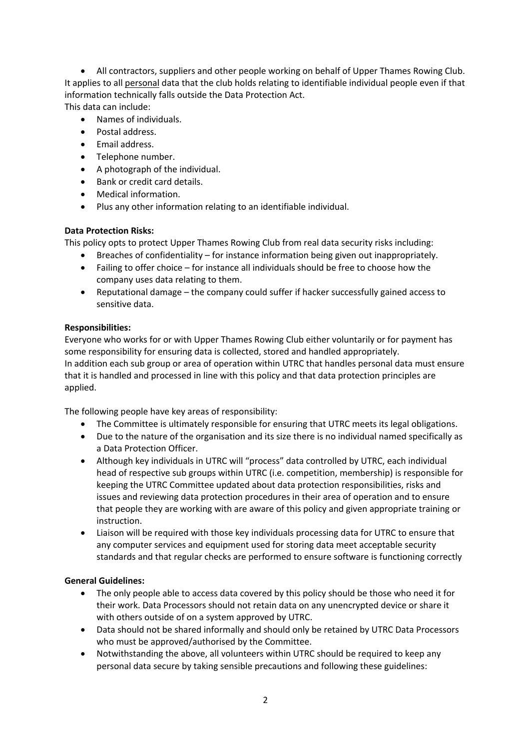• All contractors, suppliers and other people working on behalf of Upper Thames Rowing Club. It applies to all personal data that the club holds relating to identifiable individual people even if that information technically falls outside the Data Protection Act.

This data can include:

- Names of individuals.
- Postal address.
- Email address.
- Telephone number.
- A photograph of the individual.
- Bank or credit card details.
- Medical information.
- Plus any other information relating to an identifiable individual.

# **Data Protection Risks:**

This policy opts to protect Upper Thames Rowing Club from real data security risks including:

- Breaches of confidentiality for instance information being given out inappropriately.
- Failing to offer choice for instance all individuals should be free to choose how the company uses data relating to them.
- Reputational damage the company could suffer if hacker successfully gained access to sensitive data.

# **Responsibilities:**

Everyone who works for or with Upper Thames Rowing Club either voluntarily or for payment has some responsibility for ensuring data is collected, stored and handled appropriately. In addition each sub group or area of operation within UTRC that handles personal data must ensure that it is handled and processed in line with this policy and that data protection principles are applied.

The following people have key areas of responsibility:

- The Committee is ultimately responsible for ensuring that UTRC meets its legal obligations.
- Due to the nature of the organisation and its size there is no individual named specifically as a Data Protection Officer.
- Although key individuals in UTRC will "process" data controlled by UTRC, each individual head of respective sub groups within UTRC (i.e. competition, membership) is responsible for keeping the UTRC Committee updated about data protection responsibilities, risks and issues and reviewing data protection procedures in their area of operation and to ensure that people they are working with are aware of this policy and given appropriate training or instruction.
- Liaison will be required with those key individuals processing data for UTRC to ensure that any computer services and equipment used for storing data meet acceptable security standards and that regular checks are performed to ensure software is functioning correctly

# **General Guidelines:**

- The only people able to access data covered by this policy should be those who need it for their work. Data Processors should not retain data on any unencrypted device or share it with others outside of on a system approved by UTRC.
- Data should not be shared informally and should only be retained by UTRC Data Processors who must be approved/authorised by the Committee.
- Notwithstanding the above, all volunteers within UTRC should be required to keep any personal data secure by taking sensible precautions and following these guidelines: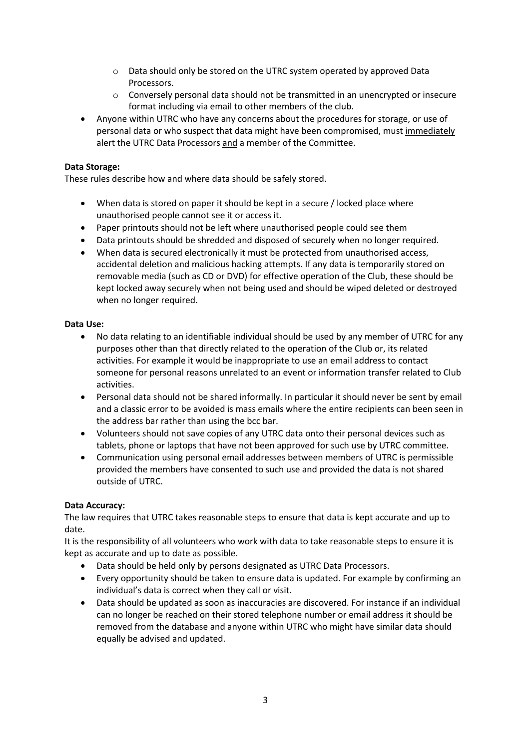- o Data should only be stored on the UTRC system operated by approved Data Processors.
- $\circ$  Conversely personal data should not be transmitted in an unencrypted or insecure format including via email to other members of the club.
- Anyone within UTRC who have any concerns about the procedures for storage, or use of personal data or who suspect that data might have been compromised, must immediately alert the UTRC Data Processors and a member of the Committee.

## **Data Storage:**

These rules describe how and where data should be safely stored.

- When data is stored on paper it should be kept in a secure / locked place where unauthorised people cannot see it or access it.
- Paper printouts should not be left where unauthorised people could see them
- Data printouts should be shredded and disposed of securely when no longer required.
- When data is secured electronically it must be protected from unauthorised access, accidental deletion and malicious hacking attempts. If any data is temporarily stored on removable media (such as CD or DVD) for effective operation of the Club, these should be kept locked away securely when not being used and should be wiped deleted or destroyed when no longer required.

### **Data Use:**

- No data relating to an identifiable individual should be used by any member of UTRC for any purposes other than that directly related to the operation of the Club or, its related activities. For example it would be inappropriate to use an email address to contact someone for personal reasons unrelated to an event or information transfer related to Club activities.
- Personal data should not be shared informally. In particular it should never be sent by email and a classic error to be avoided is mass emails where the entire recipients can been seen in the address bar rather than using the bcc bar.
- Volunteers should not save copies of any UTRC data onto their personal devices such as tablets, phone or laptops that have not been approved for such use by UTRC committee.
- Communication using personal email addresses between members of UTRC is permissible provided the members have consented to such use and provided the data is not shared outside of UTRC.

# **Data Accuracy:**

The law requires that UTRC takes reasonable steps to ensure that data is kept accurate and up to date.

It is the responsibility of all volunteers who work with data to take reasonable steps to ensure it is kept as accurate and up to date as possible.

- Data should be held only by persons designated as UTRC Data Processors.
- Every opportunity should be taken to ensure data is updated. For example by confirming an individual's data is correct when they call or visit.
- Data should be updated as soon as inaccuracies are discovered. For instance if an individual can no longer be reached on their stored telephone number or email address it should be removed from the database and anyone within UTRC who might have similar data should equally be advised and updated.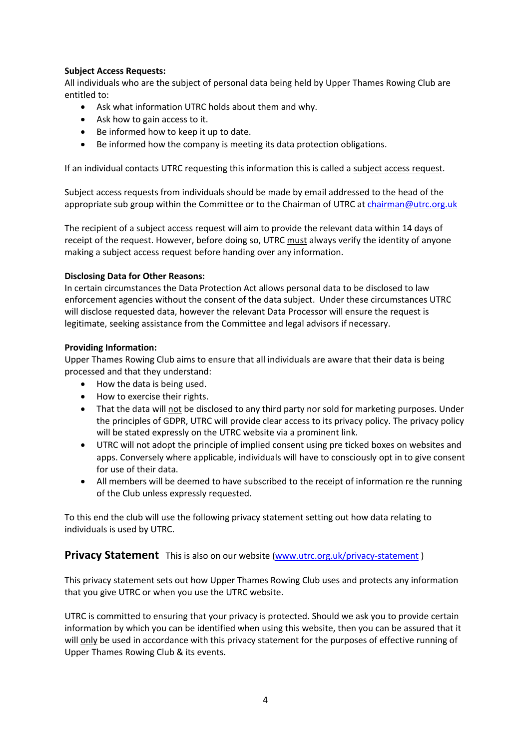## **Subject Access Requests:**

All individuals who are the subject of personal data being held by Upper Thames Rowing Club are entitled to:

- Ask what information UTRC holds about them and why.
- Ask how to gain access to it.
- Be informed how to keep it up to date.
- Be informed how the company is meeting its data protection obligations.

If an individual contacts UTRC requesting this information this is called a subject access request.

Subject access requests from individuals should be made by email addressed to the head of the appropriate sub group within the Committee or to the Chairman of UTRC at chairman@utrc.org.uk

The recipient of a subject access request will aim to provide the relevant data within 14 days of receipt of the request. However, before doing so, UTRC must always verify the identity of anyone making a subject access request before handing over any information.

#### **Disclosing Data for Other Reasons:**

In certain circumstances the Data Protection Act allows personal data to be disclosed to law enforcement agencies without the consent of the data subject. Under these circumstances UTRC will disclose requested data, however the relevant Data Processor will ensure the request is legitimate, seeking assistance from the Committee and legal advisors if necessary.

#### **Providing Information:**

Upper Thames Rowing Club aims to ensure that all individuals are aware that their data is being processed and that they understand:

- How the data is being used.
- How to exercise their rights.
- That the data will not be disclosed to any third party nor sold for marketing purposes. Under the principles of GDPR, UTRC will provide clear access to its privacy policy. The privacy policy will be stated expressly on the UTRC website via a prominent link.
- UTRC will not adopt the principle of implied consent using pre ticked boxes on websites and apps. Conversely where applicable, individuals will have to consciously opt in to give consent for use of their data.
- All members will be deemed to have subscribed to the receipt of information re the running of the Club unless expressly requested.

To this end the club will use the following privacy statement setting out how data relating to individuals is used by UTRC.

# **Privacy Statement** This is also on our website (www.utrc.org.uk/privacy-statement)

This privacy statement sets out how Upper Thames Rowing Club uses and protects any information that you give UTRC or when you use the UTRC website.

UTRC is committed to ensuring that your privacy is protected. Should we ask you to provide certain information by which you can be identified when using this website, then you can be assured that it will only be used in accordance with this privacy statement for the purposes of effective running of Upper Thames Rowing Club & its events.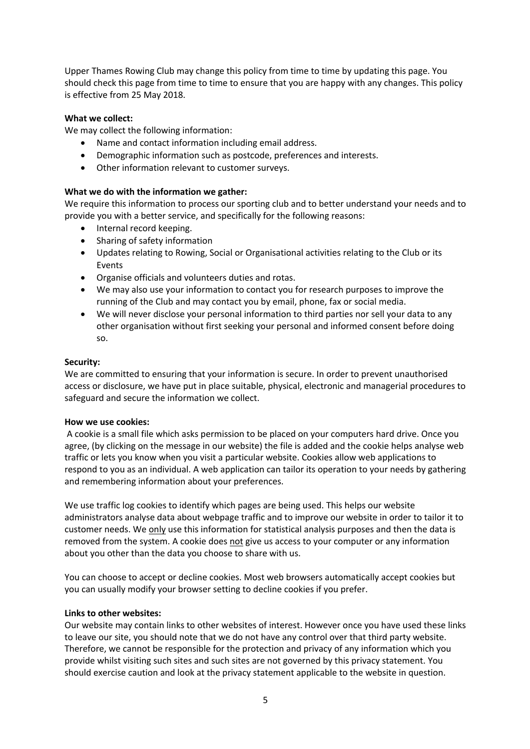Upper Thames Rowing Club may change this policy from time to time by updating this page. You should check this page from time to time to ensure that you are happy with any changes. This policy is effective from 25 May 2018.

#### **What we collect:**

We may collect the following information:

- Name and contact information including email address.
- Demographic information such as postcode, preferences and interests.
- Other information relevant to customer surveys.

#### **What we do with the information we gather:**

We require this information to process our sporting club and to better understand your needs and to provide you with a better service, and specifically for the following reasons:

- Internal record keeping.
- Sharing of safety information
- Updates relating to Rowing, Social or Organisational activities relating to the Club or its Events
- Organise officials and volunteers duties and rotas.
- We may also use your information to contact you for research purposes to improve the running of the Club and may contact you by email, phone, fax or social media.
- We will never disclose your personal information to third parties nor sell your data to any other organisation without first seeking your personal and informed consent before doing so.

#### **Security:**

We are committed to ensuring that your information is secure. In order to prevent unauthorised access or disclosure, we have put in place suitable, physical, electronic and managerial procedures to safeguard and secure the information we collect.

#### **How we use cookies:**

A cookie is a small file which asks permission to be placed on your computers hard drive. Once you agree, (by clicking on the message in our website) the file is added and the cookie helps analyse web traffic or lets you know when you visit a particular website. Cookies allow web applications to respond to you as an individual. A web application can tailor its operation to your needs by gathering and remembering information about your preferences.

We use traffic log cookies to identify which pages are being used. This helps our website administrators analyse data about webpage traffic and to improve our website in order to tailor it to customer needs. We only use this information for statistical analysis purposes and then the data is removed from the system. A cookie does not give us access to your computer or any information about you other than the data you choose to share with us.

You can choose to accept or decline cookies. Most web browsers automatically accept cookies but you can usually modify your browser setting to decline cookies if you prefer.

#### **Links to other websites:**

Our website may contain links to other websites of interest. However once you have used these links to leave our site, you should note that we do not have any control over that third party website. Therefore, we cannot be responsible for the protection and privacy of any information which you provide whilst visiting such sites and such sites are not governed by this privacy statement. You should exercise caution and look at the privacy statement applicable to the website in question.